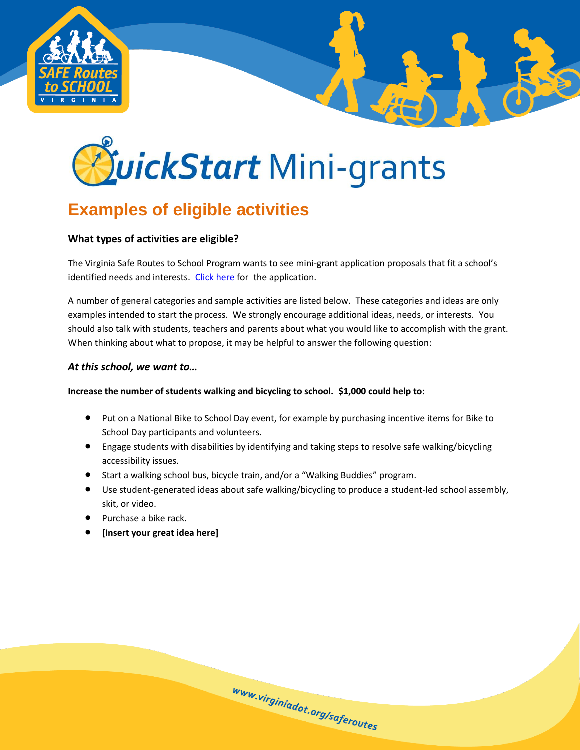

# *PuickStart Mini-grants*

## **Examples of eligible activities**

### **What types of activities are eligible?**

The Virginia Safe Routes to School Program wants to see mini-grant application proposals that fit a school's identified needs and interests. [Click here](http://www.surveygizmo.com/s3/1003520/QuickStart-Mini-grant-Application-Form) for the application.

A number of general categories and sample activities are listed below. These categories and ideas are only examples intended to start the process. We strongly encourage additional ideas, needs, or interests. You should also talk with students, teachers and parents about what you would like to accomplish with the grant. When thinking about what to propose, it may be helpful to answer the following question:

#### *At this school, we want to…*

#### **Increase the number of students walking and bicycling to school. \$1,000 could help to:**

- Put on a National Bike to School Day event, for example by purchasing incentive items for Bike to School Day participants and volunteers.
- Engage students with disabilities by identifying and taking steps to resolve safe walking/bicycling accessibility issues.
- Start a walking school bus, bicycle train, and/or a "Walking Buddies" program.
- Use student-generated ideas about safe walking/bicycling to produce a student-led school assembly, skit, or video.

www.virginiadot.org/saferoutes

- Purchase a bike rack.
- **[Insert your great idea here]**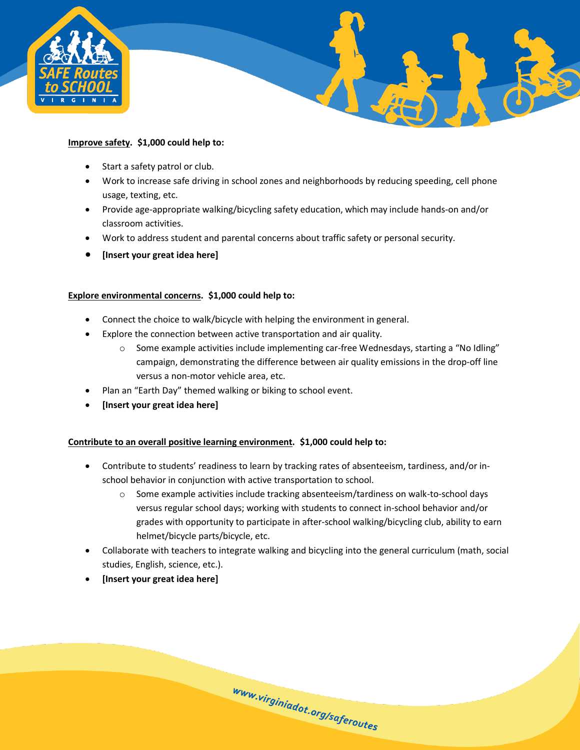

#### **Improve safety. \$1,000 could help to:**

- Start a safety patrol or club.
- Work to increase safe driving in school zones and neighborhoods by reducing speeding, cell phone usage, texting, etc.

- Provide age-appropriate walking/bicycling safety education, which may include hands-on and/or classroom activities.
- Work to address student and parental concerns about traffic safety or personal security.
- **[Insert your great idea here]**

#### **Explore environmental concerns. \$1,000 could help to:**

- Connect the choice to walk/bicycle with helping the environment in general.
- Explore the connection between active transportation and air quality.
	- $\circ$  Some example activities include implementing car-free Wednesdays, starting a "No Idling" campaign, demonstrating the difference between air quality emissions in the drop-off line versus a non-motor vehicle area, etc.
- Plan an "Earth Day" themed walking or biking to school event.
- **[Insert your great idea here]**

#### **Contribute to an overall positive learning environment. \$1,000 could help to:**

- Contribute to students' readiness to learn by tracking rates of absenteeism, tardiness, and/or inschool behavior in conjunction with active transportation to school.
	- o Some example activities include tracking absenteeism/tardiness on walk-to-school days versus regular school days; working with students to connect in-school behavior and/or grades with opportunity to participate in after-school walking/bicycling club, ability to earn helmet/bicycle parts/bicycle, etc.
- Collaborate with teachers to integrate walking and bicycling into the general curriculum (math, social studies, English, science, etc.).

www.virginiadot.org/saferoutes

**[Insert your great idea here]**